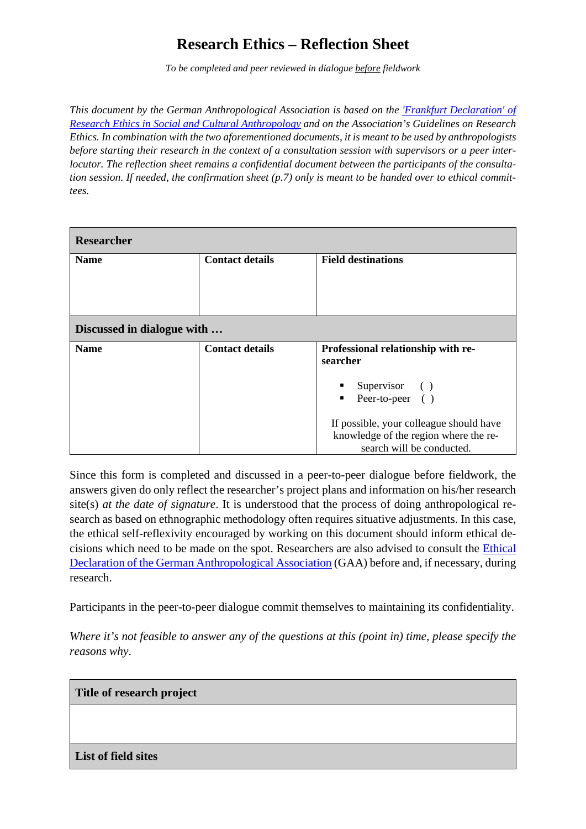# **Research Ethics – Reflection Sheet**

*To be completed and peer reviewed in dialogue before fieldwork*

*This document by the German Anthropological Association is based on the ['Frankfurt Declaration' of](https://en.dgska.de/ethics/)  [Research Ethics in Social and Cultural Anthropology](https://en.dgska.de/ethics/) and on the Association's Guidelines on Research Ethics. In combination with the two aforementioned documents, it is meant to be used by anthropologists before starting their research in the context of a consultation session with supervisors or a peer interlocutor. The reflection sheet remains a confidential document between the participants of the consultation session. If needed, the confirmation sheet (p.7) only is meant to be handed over to ethical committees.* 

| <b>Researcher</b>          |                        |                                         |  |  |
|----------------------------|------------------------|-----------------------------------------|--|--|
| <b>Name</b>                | <b>Contact details</b> | <b>Field destinations</b>               |  |  |
|                            |                        |                                         |  |  |
|                            |                        |                                         |  |  |
| Discussed in dialogue with |                        |                                         |  |  |
|                            |                        |                                         |  |  |
| <b>Name</b>                | <b>Contact details</b> | Professional relationship with re-      |  |  |
|                            |                        | searcher                                |  |  |
|                            |                        |                                         |  |  |
|                            |                        | Supervisor ()<br>٠                      |  |  |
|                            |                        | Peer-to-peer ()<br>٠                    |  |  |
|                            |                        | If possible, your colleague should have |  |  |
|                            |                        |                                         |  |  |
|                            |                        | knowledge of the region where the re-   |  |  |
|                            |                        | search will be conducted.               |  |  |

Since this form is completed and discussed in a peer-to-peer dialogue before fieldwork, the answers given do only reflect the researcher's project plans and information on his/her research site(s) *at the date of signature*. It is understood that the process of doing anthropological research as based on ethnographic methodology often requires situative adjustments. In this case, the ethical self-reflexivity encouraged by working on this document should inform ethical decisions which need to be made on the spot. Researchers are also advised to consult the [Ethical](https://en.dgska.de/ethics/)  [Declaration of the German Anthropological Association](https://en.dgska.de/ethics/) (GAA) before and, if necessary, during research.

Participants in the peer-to-peer dialogue commit themselves to maintaining its confidentiality.

*Where it's not feasible to answer any of the questions at this (point in) time, please specify the reasons why*.

#### **Title of research project**

#### **List of field sites**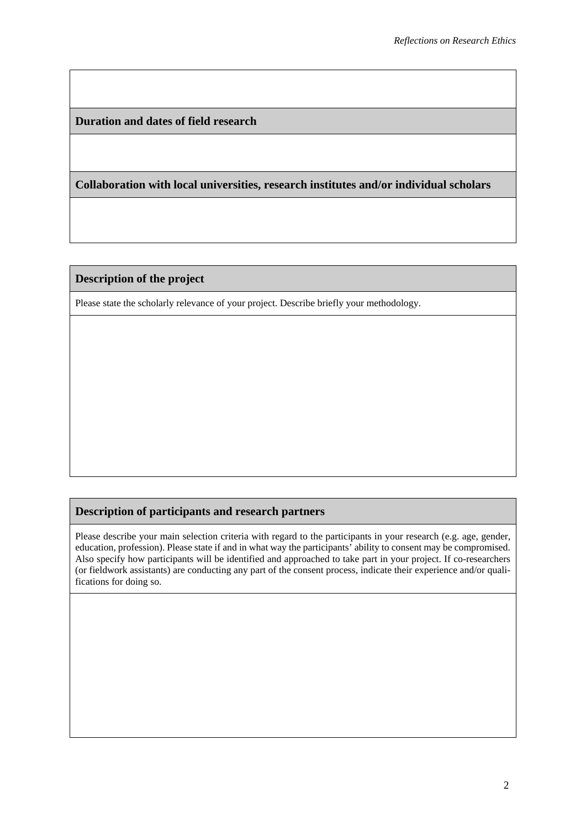**Duration and dates of field research**

**Collaboration with local universities, research institutes and/or individual scholars**

#### **Description of the project**

Please state the scholarly relevance of your project. Describe briefly your methodology.

### **Description of participants and research partners**

Please describe your main selection criteria with regard to the participants in your research (e.g. age, gender, education, profession). Please state if and in what way the participants' ability to consent may be compromised. Also specify how participants will be identified and approached to take part in your project. If co-researchers (or fieldwork assistants) are conducting any part of the consent process, indicate their experience and/or qualifications for doing so.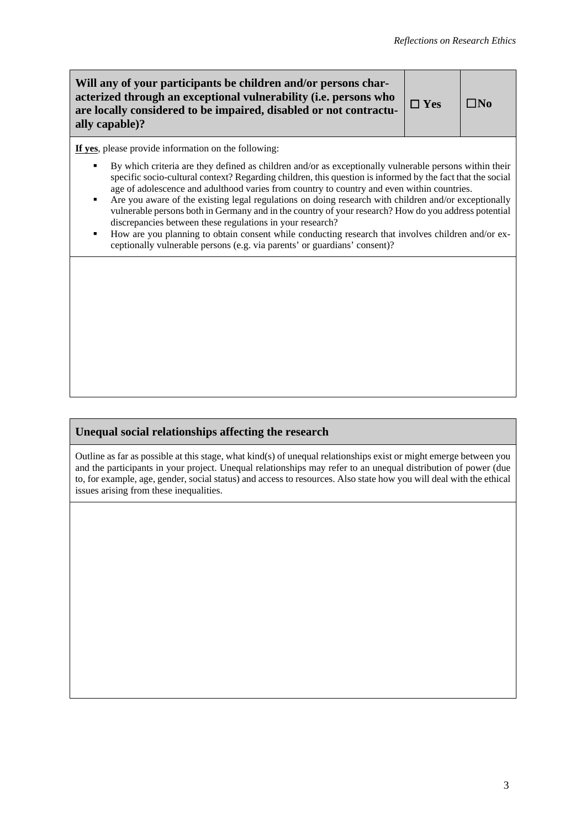| Will any of your participants be children and/or persons char-<br>acterized through an exceptional vulnerability (i.e. persons who<br>are locally considered to be impaired, disabled or not contractu-<br>ally capable)?                                                                                                                                                                                                                                                                                                                                                                                                                                                                                                                                                                                                                                 | $\Box$ Yes | l INo |
|-----------------------------------------------------------------------------------------------------------------------------------------------------------------------------------------------------------------------------------------------------------------------------------------------------------------------------------------------------------------------------------------------------------------------------------------------------------------------------------------------------------------------------------------------------------------------------------------------------------------------------------------------------------------------------------------------------------------------------------------------------------------------------------------------------------------------------------------------------------|------------|-------|
| If yes, please provide information on the following:<br>By which criteria are they defined as children and/or as exceptionally vulnerable persons within their<br>٠<br>specific socio-cultural context? Regarding children, this question is informed by the fact that the social<br>age of adolescence and adulthood varies from country to country and even within countries.<br>Are you aware of the existing legal regulations on doing research with children and/or exceptionally<br>٠<br>vulnerable persons both in Germany and in the country of your research? How do you address potential<br>discrepancies between these regulations in your research?<br>How are you planning to obtain consent while conducting research that involves children and/or ex-<br>п<br>ceptionally vulnerable persons (e.g. via parents' or guardians' consent)? |            |       |
|                                                                                                                                                                                                                                                                                                                                                                                                                                                                                                                                                                                                                                                                                                                                                                                                                                                           |            |       |

## **Unequal social relationships affecting the research**

Outline as far as possible at this stage, what kind(s) of unequal relationships exist or might emerge between you and the participants in your project. Unequal relationships may refer to an unequal distribution of power (due to, for example, age, gender, social status) and access to resources. Also state how you will deal with the ethical issues arising from these inequalities.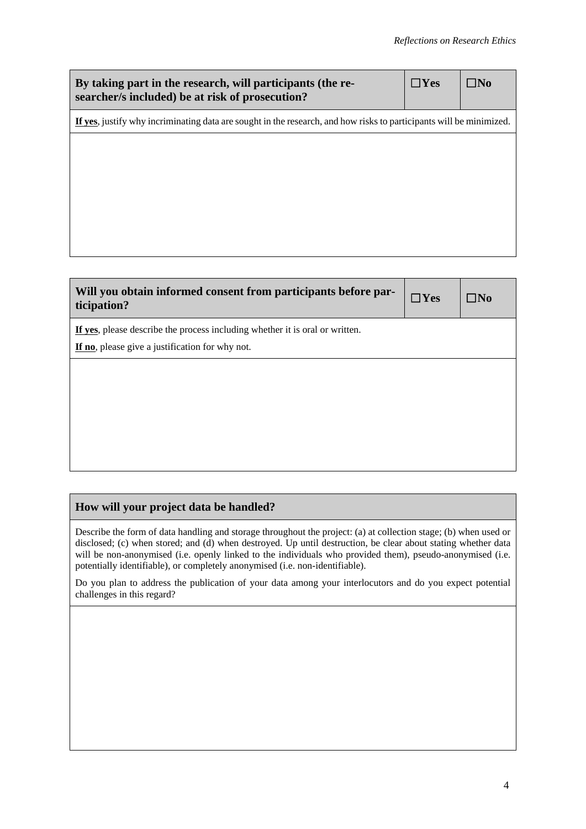| By taking part in the research, will participants (the re-<br>searcher/s included) be at risk of prosecution?       | $\square$ Yes | l INo |  |
|---------------------------------------------------------------------------------------------------------------------|---------------|-------|--|
| If yes, justify why incriminating data are sought in the research, and how risks to participants will be minimized. |               |       |  |
|                                                                                                                     |               |       |  |
|                                                                                                                     |               |       |  |
|                                                                                                                     |               |       |  |
|                                                                                                                     |               |       |  |
|                                                                                                                     |               |       |  |
|                                                                                                                     |               |       |  |

| Will you obtain informed consent from participants before par-<br>ticipation?                                                   | $\Box$ Yes | ⊤No |
|---------------------------------------------------------------------------------------------------------------------------------|------------|-----|
| If yes, please describe the process including whether it is oral or written.<br>If no, please give a justification for why not. |            |     |
|                                                                                                                                 |            |     |
|                                                                                                                                 |            |     |
|                                                                                                                                 |            |     |
|                                                                                                                                 |            |     |

## **How will your project data be handled?**

Describe the form of data handling and storage throughout the project: (a) at collection stage; (b) when used or disclosed; (c) when stored; and (d) when destroyed. Up until destruction, be clear about stating whether data will be non-anonymised (i.e. openly linked to the individuals who provided them), pseudo-anonymised (i.e. potentially identifiable), or completely anonymised (i.e. non-identifiable).

Do you plan to address the publication of your data among your interlocutors and do you expect potential challenges in this regard?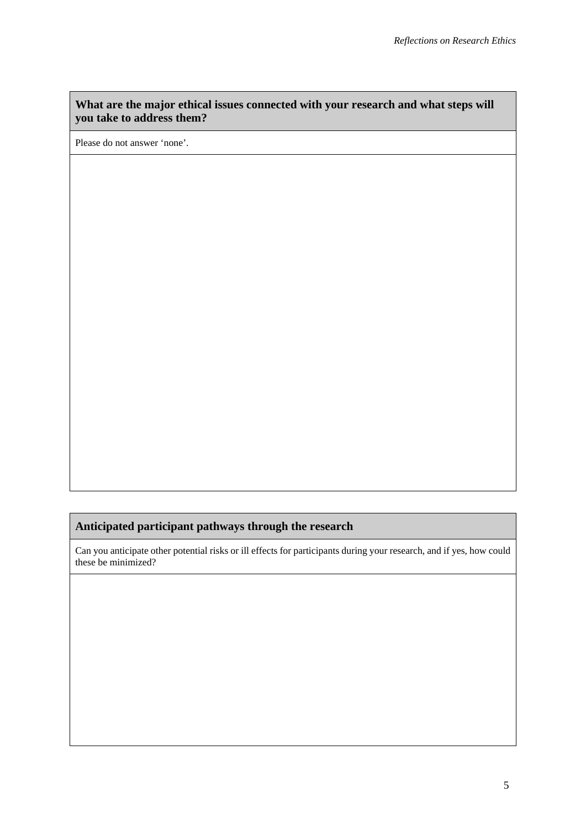### **What are the major ethical issues connected with your research and what steps will you take to address them?**

Please do not answer 'none'.

## **Anticipated participant pathways through the research**

Can you anticipate other potential risks or ill effects for participants during your research, and if yes, how could these be minimized?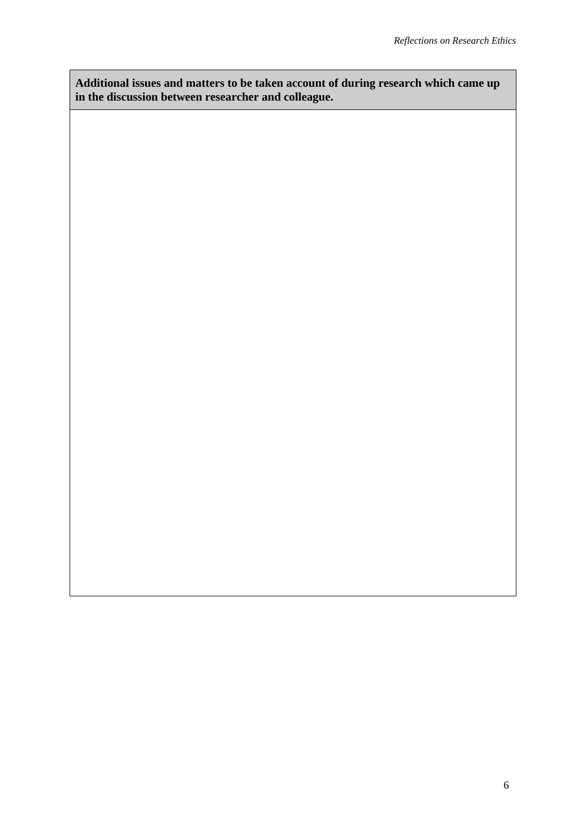**Additional issues and matters to be taken account of during research which came up in the discussion between researcher and colleague.**